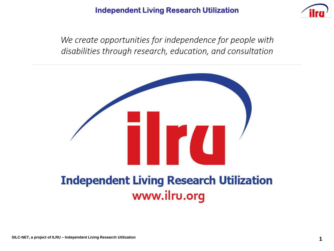

We create opportunities for independence for people with disabilities through research, education, and consultation

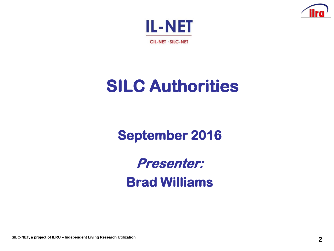



# **SILC Authorities**

**September 2016** 

**Presenter: Brad Williams**

**SILC-NET, a project of ILRU – Independent Living Research Utilization**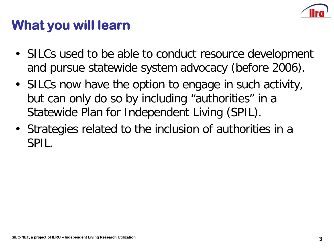

#### **What you will learn**

- SILCs used to be able to conduct resource development and pursue statewide system advocacy (before 2006).
- SILCs now have the option to engage in such activity, but can only do so by including "authorities" in a Statewide Plan for Independent Living (SPIL).
- Strategies related to the inclusion of authorities in a SPIL.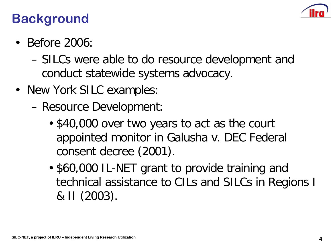

#### **Background**

- Before 2006:
	- SILCs were able to do resource development and conduct statewide systems advocacy.
- New York SILC examples:
	- Resource Development:
		- \$40,000 over two years to act as the court appointed monitor in Galusha v. DEC Federal consent decree (2001).
		- \$60,000 IL-NET grant to provide training and technical assistance to CILs and SILCs in Regions I & II (2003).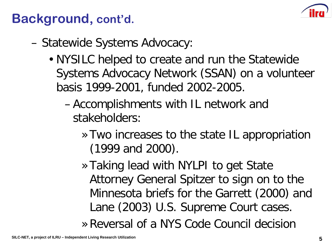

#### **Background, cont'd.**

- Statewide Systems Advocacy:
	- NYSILC helped to create and run the Statewide Systems Advocacy Network (SSAN) on a volunteer basis 1999-2001, funded 2002-2005.
		- Accomplishments with IL network and stakeholders:
			- » Two increases to the state IL appropriation (1999 and 2000).
			- » Taking lead with NYLPI to get State Attorney General Spitzer to sign on to the Minnesota briefs for the Garrett (2000) and Lane (2003) U.S. Supreme Court cases.

»Reversal of a NYS Code Council decision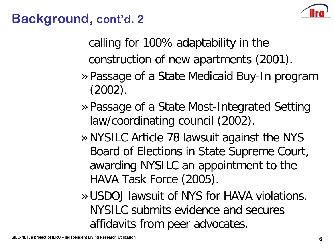

#### **Background, cont'd. 2**

calling for 100% adaptability in the construction of new apartments (2001).

- » Passage of a State Medicaid Buy-In program (2002).
- » Passage of a State Most-Integrated Setting law/coordinating council (2002).
- »NYSILC Article 78 lawsuit against the NYS Board of Elections in State Supreme Court, awarding NYSILC an appointment to the HAVA Task Force (2005).
- »USDOJ lawsuit of NYS for HAVA violations. NYSILC submits evidence and secures affidavits from peer advocates.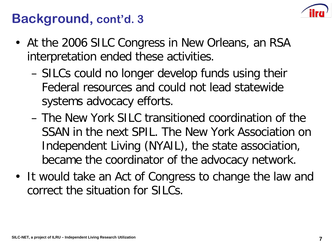

#### **Background, cont'd. 3**

- At the 2006 SILC Congress in New Orleans, an RSA interpretation ended these activities.
	- SILCs could no longer develop funds using their Federal resources and could not lead statewide systems advocacy efforts.
	- The New York SILC transitioned coordination of the SSAN in the next SPIL. The New York Association on Independent Living (NYAIL), the state association, became the coordinator of the advocacy network.
- It would take an Act of Congress to change the law and correct the situation for SILCs.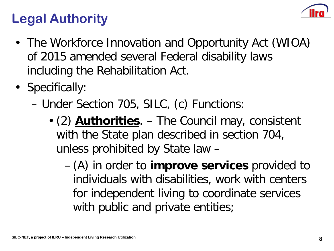

### **Legal Authority**

- The Workforce Innovation and Opportunity Act (WIOA) of 2015 amended several Federal disability laws including the Rehabilitation Act.
- Specifically:
	- Under Section 705, SILC, (c) Functions:
		- (2) **Authorities**. The Council may, consistent with the State plan described in section 704, unless prohibited by State law –
			- (A) in order to **improve services** provided to individuals with disabilities, work with centers for independent living to coordinate services with public and private entities;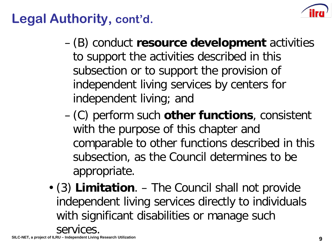

#### **Legal Authority, cont'd.**

- (B) conduct **resource development** activities to support the activities described in this subsection or to support the provision of independent living services by centers for independent living; and
- (C) perform such **other functions**, consistent with the purpose of this chapter and comparable to other functions described in this subsection, as the Council determines to be appropriate.
- (3) **Limitation**. The Council shall not provide independent living services directly to individuals with significant disabilities or manage such services.

**SILC-NET, a project of ILRU – Independent Living Research Utilization**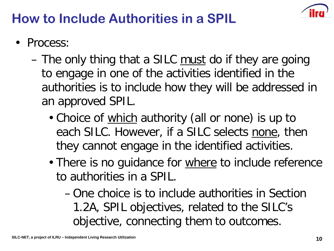

#### **How to Include Authorities in a SPIL**

- Process:
	- The only thing that a SILC must do if they are going to engage in one of the activities identified in the authorities is to include how they will be addressed in an approved SPIL.
		- Choice of which authority (all or none) is up to each SILC. However, if a SILC selects none, then they cannot engage in the identified activities.
		- There is no guidance for where to include reference to authorities in a SPIL.
			- One choice is to include authorities in Section 1.2A, SPIL objectives, related to the SILC's objective, connecting them to outcomes.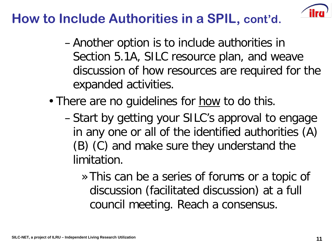

- Another option is to include authorities in Section 5.1A, SILC resource plan, and weave discussion of how resources are required for the expanded activities.
- There are no guidelines for how to do this.
	- Start by getting your SILC's approval to engage in any one or all of the identified authorities (A) (B) (C) and make sure they understand the limitation.
		- » This can be a series of forums or a topic of discussion (facilitated discussion) at a full council meeting. Reach a consensus.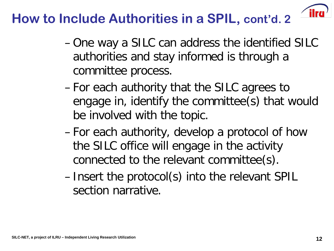- One way a SILC can address the identified SILC authorities and stay informed is through a committee process.
- For each authority that the SILC agrees to engage in, identify the committee(s) that would be involved with the topic.
- For each authority, develop a protocol of how the SILC office will engage in the activity connected to the relevant committee(s).
- Insert the protocol(s) into the relevant SPIL section narrative.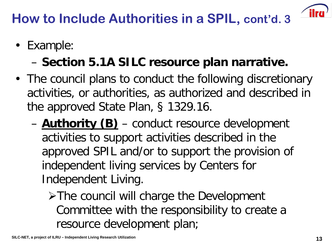• Example:

## – **Section 5.1A SILC resource plan narrative.**

- The council plans to conduct the following discretionary activities, or authorities, as authorized and described in the approved State Plan, § 1329.16.
	- **Authority (B)** conduct resource development activities to support activities described in the approved SPIL and/or to support the provision of independent living services by Centers for Independent Living.
		- > The council will charge the Development Committee with the responsibility to create a resource development plan;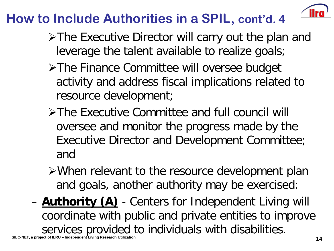

- **≻The Executive Director will carry out the plan and** leverage the talent available to realize goals;
- **≻The Finance Committee will oversee budget** activity and address fiscal implications related to resource development;
- The Executive Committee and full council will oversee and monitor the progress made by the Executive Director and Development Committee; and
- When relevant to the resource development plan and goals, another authority may be exercised:
- **SILC-NET, a project of ILRU – Independent Living Research Utilization** – **Authority (A)** - Centers for Independent Living will coordinate with public and private entities to improve services provided to individuals with disabilities.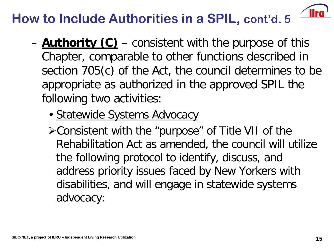- **Authority (C)** consistent with the purpose of this Chapter, comparable to other functions described in section 705(c) of the Act, the council determines to be appropriate as authorized in the approved SPIL the following two activities:
	- Statewide Systems Advocacy
	- Consistent with the "purpose" of Title VII of the Rehabilitation Act as amended, the council will utilize the following protocol to identify, discuss, and address priority issues faced by New Yorkers with disabilities, and will engage in statewide systems advocacy: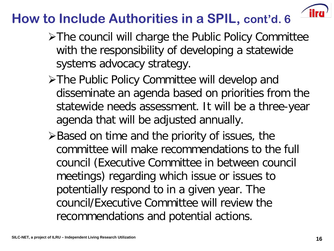- The council will charge the Public Policy Committee with the responsibility of developing a statewide systems advocacy strategy.
- **≻The Public Policy Committee will develop and** disseminate an agenda based on priorities from the statewide needs assessment. It will be a three-year agenda that will be adjusted annually.
- $\triangleright$  Based on time and the priority of issues, the committee will make recommendations to the full council (Executive Committee in between council meetings) regarding which issue or issues to potentially respond to in a given year. The council/Executive Committee will review the recommendations and potential actions.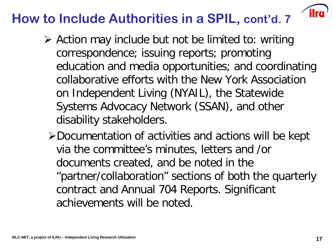- $\triangleright$  Action may include but not be limited to: writing correspondence; issuing reports; promoting education and media opportunities; and coordinating collaborative efforts with the New York Association on Independent Living (NYAIL), the Statewide Systems Advocacy Network (SSAN), and other disability stakeholders.
	- Documentation of activities and actions will be kept via the committee's minutes, letters and /or documents created, and be noted in the "partner/collaboration" sections of both the quarterly contract and Annual 704 Reports. Significant achievements will be noted.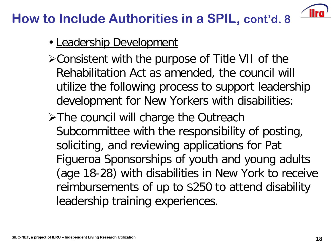- Leadership Development
- Consistent with the purpose of Title VII of the Rehabilitation Act as amended, the council will utilize the following process to support leadership development for New Yorkers with disabilities:
- > The council will charge the Outreach Subcommittee with the responsibility of posting, soliciting, and reviewing applications for Pat Figueroa Sponsorships of youth and young adults (age 18-28) with disabilities in New York to receive reimbursements of up to \$250 to attend disability leadership training experiences.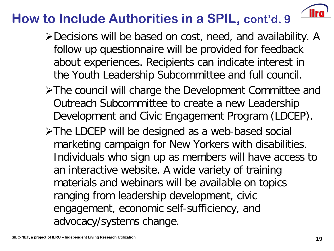- Decisions will be based on cost, need, and availability. A follow up questionnaire will be provided for feedback about experiences. Recipients can indicate interest in the Youth Leadership Subcommittee and full council.
- The council will charge the Development Committee and Outreach Subcommittee to create a new Leadership Development and Civic Engagement Program (LDCEP).
- > The LDCEP will be designed as a web-based social marketing campaign for New Yorkers with disabilities. Individuals who sign up as members will have access to an interactive website. A wide variety of training materials and webinars will be available on topics ranging from leadership development, civic engagement, economic self-sufficiency, and advocacy/systems change.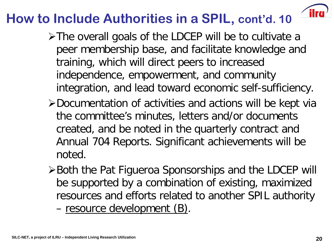- The overall goals of the LDCEP will be to cultivate a peer membership base, and facilitate knowledge and training, which will direct peers to increased independence, empowerment, and community integration, and lead toward economic self-sufficiency.
- Documentation of activities and actions will be kept via the committee's minutes, letters and/or documents created, and be noted in the quarterly contract and Annual 704 Reports. Significant achievements will be noted.
- ≻Both the Pat Figueroa Sponsorships and the LDCEP will be supported by a combination of existing, maximized resources and efforts related to another SPIL authority – resource development (B).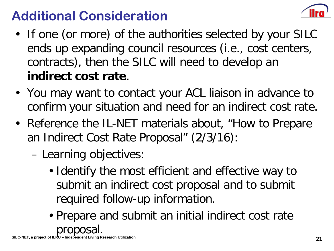## **Additional Consideration**



- If one (or more) of the authorities selected by your SILC ends up expanding council resources (i.e., cost centers, contracts), then the SILC will need to develop an **indirect cost rate**.
- You may want to contact your ACL liaison in advance to confirm your situation and need for an indirect cost rate.
- Reference the IL-NET materials about, "How to Prepare an Indirect Cost Rate Proposal" (2/3/16):
	- Learning objectives:
		- Identify the most efficient and effective way to submit an indirect cost proposal and to submit required follow-up information.
		- Prepare and submit an initial indirect cost rate proposal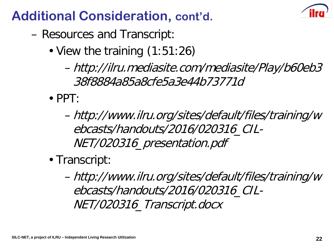#### **Additional Consideration, cont'd.**

- Resources and Transcript:
	- View the training (1:51:26)
		- http://ilru.mediasite.com/mediasite/Play/b60eb3 38f8884a85a8cfe5a3e44b73771d
	- $\bullet$  PPT:
		- http://www.ilru.org/sites/default/files/training/w ebcasts/handouts/2016/020316\_CIL-NET/020316\_presentation.pdf
	- Transcript:
		- http://www.ilru.org/sites/default/files/training/w ebcasts/handouts/2016/020316\_CIL-NET/020316\_Transcript.docx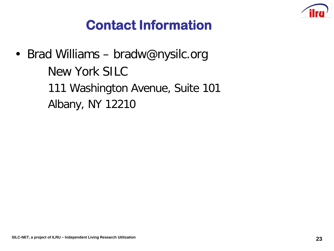

## **Contact Information**

• Brad Williams – bradw@nysilc.org New York SILC 111 Washington Avenue, Suite 101 Albany, NY 12210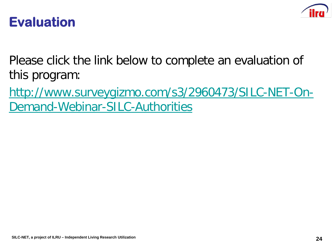

#### **Evaluation**

Please click the link below to complete an evaluation of this program:

[http://www.surveygizmo.com/s3/2960473/SILC-NET-On-](http://www.surveygizmo.com/s3/2960473/SILC-NET-On-Demand-Webinar-SILC-Authorities)Demand-Webinar-SILC-Authorities